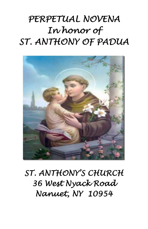# *PERPETUAL NOVENA In honor of ST. ANTHONY OF PADUA*



*ST. ANTHONY'S CHURCH 36 West Nyack Road Nanuet, NY 10954*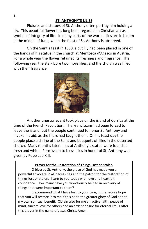#### **ST. ANTHONY'S LILIES**

Pictures and statues of St. Anthony often portray him holding a lily. This beautiful flower has long been regarded in Christian art as a symbol of integrity of life. In many parts of the world, lilies are in bloom in the middle of June, when the feast of St. Anthony is observed.

On the Saint's feast in 1680, a cut lily had been placed in one of the hands of his statue in the church at Mentosca d'Agesco in Austria. For a whole year the flower retained its freshness and fragrance. The following year the stalk bore two more lilies, and the church was filled with their fragrance.



Another unusual event took place on the island of Corsica at the time of the French Revolution. The Franciscans had been forced to leave the island, but the people continued to honor St. Anthony and invoke his aid, as the friars had taught them. On his feast day the people place a shrine of the Saint and bouquets of lilies in the deserted church. Many months later, lilies at Anthony's statue were found still fresh and white. Permission to bless lilies in honor of St. Anthony was given by Pope Leo XIII.

#### **Prayer for the Restoration of Things Lost or Stolen**

O blessed St. Anthony, the grace of God has made you a powerful advocate in all necessities and the patron for the restoration of things lost or stolen. I turn to you today with love and heartfelt confidence. How many have you wondrously helped in recovery of things that were important to them?

I recommend what I have lost to your care, in the secure hope that you will restore it to me if this be to the greater glory of God and to my own spiritual benefit. Obtain also for me an active faith, peace of mind, sincere love for others and an ardent desire for eternal life. I offer this prayer in the name of Jesus Christ, Amen.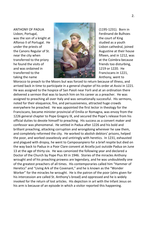

Morocco to preach to the Moors but was forced to return because of illness, and arrived back in time to participate in a general chapter of his order at Assisi in 1221. He was assigned to the hospice of San Paioli near Forli and at an ordination there delivered a sermon that was to launch him on his career as a preacher. He was assigned to preaching all over Italy and was sensationally successful. His sermons, noted for their eloquence, fire, and persuasiveness, attracted huge crowds everywhere he preached. He was appointed the first lector in theology for the Franciscans, became minister provincial of Emilia or Romagna, was envoy from the 1226 general chapter to Pope Gregory IX, and secured the Pope's release from his official duties to devote himself to preaching. His success as a convert maker and confessor was phenomenal. He settled in Padua after 1226 and his bold and brilliant preaching, attacking corruption and wrongdoing wherever he saw them, and completely reformed the city. He worked to abolish debtors' prisons, helped the poor, and worked ceaselessly and untiringly with heretics. In 1231, exhausted and plagued with dropsy, he went to Camposanpiero for a brief respite but died on the way back to Padua in a Poor Clare convent at Arcella just outside Padua on June 13 at the age of thirty-six. He was canonized the following year and declared a Doctor of the Church by Pope Pius XII in 1946. Stories of the miracles Anthony wrought and of his preaching prowess are legendary, and he was undoubtedly one of the greatest preachers of all times. His contemporaries called him "Hammer of Heretics" and "Living Ark of the Covenant," and he is known as the "Wonder Worker" for the miracles he wrought. He is the patron of the poor (alms given for his intercession are called St. Anthony's bread) and oppressed and he is widely invoked for the return of lost articles. His depiction in art with the Infant Jesus on his arm is because of an episode in which a visitor reported this happening.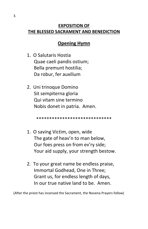#### **EXPOSITION OF THE BLESSED SACRAMENT AND BENEDICTION**

### **Opening Hymn**

- 1. O Salutaris Hostia Quae caeli pandis ostium; Bella premunt hostilia; Da robur, fer auxilium
- 2. Uni trinoque Domino Sit sempiterna gloria Qui vitam sine termino Nobis donet in patria. Amen.

\*\*\*\*\*\*\*\*\*\*\*\*\*\*\*\*\*\*\*\*\*\*\*\*\*\*\*

- 1. O saving Victim, open, wide The gate of heav'n to man below, Our foes press on from ev'ry side; Your aid supply, your strength bestow.
- 2. To your great name be endless praise, Immortal Godhead, One in Three; Grant us, for endless length of days, In our true native land to be. Amen.

(After the priest has incensed the Sacrament, the Novena Prayers follow)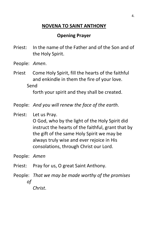# **NOVENA TO SAINT ANTHONY**

# **Opening Prayer**

- Priest: In the name of the Father and of the Son and of the Holy Spirit.
- People: *Amen*.
- Priest Come Holy Spirit, fill the hearts of the faithful and enkindle in them the fire of your love. Send

forth your spirit and they shall be created.

- People: *And you will renew the face of the earth*.
- Priest: Let us Pray. O God, who by the light of the Holy Spirit did instruct the hearts of the faithful, grant that by the gift of the same Holy Spirit we may be always truly wise and ever rejoice in His consolations, through Christ our Lord.

People: *Amen*

- Priest: Pray for us, O great Saint Anthony.
- People: *That we may be made worthy of the promises of Christ*.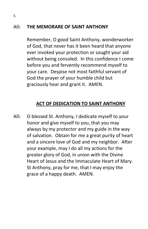### All**: THE MEMORARE OF SAINT ANTHONY**

Remember, O good Saint Anthony, wonderworker of God, that never has it been heard that anyone ever invoked your protection or sought your aid without being consoled. In this confidence I come before you and fervently recommend myself to your care. Despise not most faithful servant of God the prayer of your humble child but graciously hear and grant it. AMEN.

# **ACT OF DEDICATION TO SAINT ANTHONY**

All**:** O blessed St. Anthony, I dedicate myself to your honor and give myself to you, that you may always by my protector and my guide in the way of salvation. Obtain for me a great purity of heart and a sincere love of God and my neighbor. After your example, may I do all my actions for the greater glory of God, in union with the Divine Heart of Jesus and the Immaculate Heart of Mary. St Anthony, pray for me, that I may enjoy the grace of a happy death. AMEN.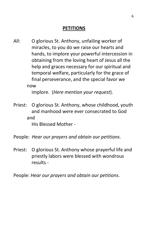# **PETITIONS**

All: O glorious St. Anthony, unfailing worker of miracles, to you do we raise our hearts and hands, to implore your powerful intercession in obtaining from the loving heart of Jesus all the help and graces necessary for our spiritual and temporal welfare, particularly for the grace of final perseverance, and the special favor we now

implore. (*Here mention your request*).

Priest: O glorious St. Anthony, whose childhood, youth and manhood were ever consecrated to God and

His Blessed Mother -

People: *Hear our prayers and obtain our petitions*.

Priest: O glorious St. Anthony whose prayerful life and priestly labors were blessed with wondrous results -

People: *Hear our prayers and obtain our petitions*.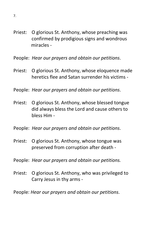- Priest: O glorious St. Anthony, whose preaching was confirmed by prodigious signs and wondrous miracles -
- People: *Hear our prayers and obtain our petitions*.
- Priest: O glorious St. Anthony, whose eloquence made heretics flee and Satan surrender his victims -
- People: *Hear our prayers and obtain our petitions*.
- Priest: O glorious St. Anthony, whose blessed tongue did always bless the Lord and cause others to bless Him -
- People: *Hear our prayers and obtain our petitions*.
- Priest: O glorious St. Anthony, whose tongue was preserved from corruption after death -
- People: *Hear our prayers and obtain our petitions.*
- Priest: O glorious St. Anthony, who was privileged to Carry Jesus in thy arms -
- People: *Hear our prayers and obtain our petitions*.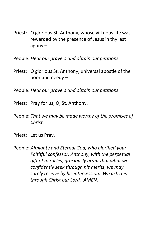- Priest: O glorious St. Anthony, whose virtuous life was rewarded by the presence of Jesus in thy last agony –
- People: *Hear our prayers and obtain our petitions*.
- Priest: O glorious St. Anthony, universal apostle of the poor and needy –
- People: *Hear our prayers and obtain our petitions*.
- Priest: Pray for us, O, St. Anthony.
- People: *That we may be made worthy of the promises of Christ.*
- Priest: Let us Pray.

People: *Almighty and Eternal God, who glorified your Faithful confessor, Anthony, with the perpetual gift of miracles, graciously grant that what we confidently seek through his merits, we may surely receive by his intercession. We ask this through Christ our Lord. AMEN.*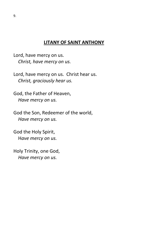#### **LITANY OF SAINT ANTHONY**

Lord, have mercy on us. *Christ, have mercy on us.*

Lord, have mercy on us. Christ hear us. *Christ, graciously hear us.*

God, the Father of Heaven, *Have mercy on us.*

God the Son, Redeemer of the world, *Have mercy on us.*

God the Holy Spirit, H*ave mercy on us.*

Holy Trinity, one God, *Have mercy on us.*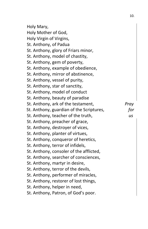| Holy Mary,                               |      |
|------------------------------------------|------|
| Holy Mother of God,                      |      |
| Holy Virgin of Virgins,                  |      |
| St. Anthony, of Padua                    |      |
| St. Anthony, glory of Friars minor,      |      |
| St. Anthony, model of chastity,          |      |
| St. Anthony, gem of poverty,             |      |
| St. Anthony, example of obedience,       |      |
| St. Anthony, mirror of abstinence,       |      |
| St. Anthony, vessel of purity,           |      |
| St. Anthony, star of sanctity,           |      |
| St. Anthony, model of conduct            |      |
| St. Anthony, beauty of paradise          |      |
| St. Anthony, ark of the testament,       | Pray |
| St. Anthony, guardian of the Scriptures, | for  |
| St. Anthony, teacher of the truth,       | us   |
| St. Anthony, preacher of grace,          |      |
| St. Anthony, destroyer of vices,         |      |
| St. Anthony, planter of virtues,         |      |
| St. Anthony, conqueror of heretics,      |      |
| St. Anthony, terror of infidels,         |      |
| St. Anthony, consoler of the afflicted,  |      |
| St. Anthony, searcher of consciences,    |      |
| St. Anthony, martyr in desire,           |      |
| St. Anthony, terror of the devils,       |      |
| St. Anthony, performer of miracles,      |      |
| St. Anthony, restorer of lost things,    |      |
| St. Anthony, helper in need,             |      |
| St. Anthony, Patron, of God's poor.      |      |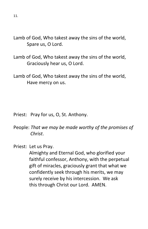Lamb of God, Who takest away the sins of the world, Spare us, O Lord.

Lamb of God, Who takest away the sins of the world, Graciously hear us, O Lord.

Lamb of God, Who takest away the sins of the world, Have mercy on us.

- Priest: Pray for us, O, St. Anthony.
- People: *That we may be made worthy of the promises of Christ*.
- Priest: Let us Pray.

 Almighty and Eternal God, who glorified your faithful confessor, Anthony, with the perpetual gift of miracles, graciously grant that what we confidently seek through his merits, we may surely receive by his intercession. We ask this through Christ our Lord. AMEN.

11.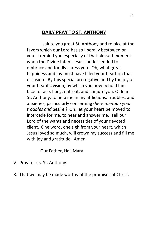#### **DAILY PRAY TO ST. ANTHONY**

I salute you great St. Anthony and rejoice at the favors which our Lord has so liberally bestowed on you. I remind you especially of that blessed moment when the Divine Infant Jesus condescended to embrace and fondly caress you. Oh, what great happiness and joy must have filled your heart on that occasion! By this special prerogative and by the joy of your beatific vision, by which you now behold him face to face, I beg, entreat, and conjure you, O dear St. Anthony, to help me in my afflictions, troubles, and anxieties, particularly concerning (*here mention your troubles and desire.)* Oh, let your heart be moved to intercede for me, to hear and answer me. Tell our Lord of the wants and necessities of your devoted client. One word, one sigh from your heart, which Jesus loved so much, will crown my success and fill me with joy and gratitude. Amen.

Our Father, Hail Mary.

- V. Pray for us, St. Anthony.
- R. That we may be made worthy of the promises of Christ.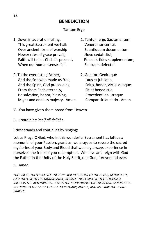# **BENEDICTION**

#### Tantum Ergo

- 1. Down in adoration falling, 1. Tantum ergo Sacramentum This great Sacrament we hail; Veneremur cernui, Over ancient form of worship Et antiquum documentum Newer rites of grace prevail; Novo cedat ritui; Faith will tell us Christ is present, Praestet fides supplementum, When our human senses fail. Sensuum defectui.
- 2. To the everlasting Father, 2. Genitori Genitoque And the Son who made us free, Laus et jubilatio, And the Spirit, God proceeding Salus, honor, virtus quoque From them Each eternally, Sit et benedictio: Be salvation, honor, blessing, Procedenti ab utroque Might and endless majesty. Amen. Compar sit laudatio. Amen.
- 
- 
- V. You have given them bread from Heaven
- R. *Containing itself all delight.*

Priest stands and continues by singing:

Let us Pray: O God, who in this wonderful Sacrament has left us a memorial of your Passion, grant us, we pray, so to revere the sacred mysteries of your Body and Blood that we may always experience in ourselves the fruits of you redemption. Who live and reign with God the Father in the Unity of the Holy Spirit, one God, forever and ever.

R. *Amen.*

*THE PRIEST, THEN RECEIVES THE HUMERAL VEIL, GOES TO THE ALTAR, GENUFLECTS, AND THEN, WITH THE MONSTRANCE, BLESSES THE PEOPLE WITH THE BLESSED SACRAMENT. AFTERWARDS, PLACES THE MONSTRANCE ON THE ALTAR, GENUFLECTS, RETURNS TO THE MIDDLE OF THE SANCTUARY, KNEELS, AND ALL PRAY THE DIVINE PRAISES.*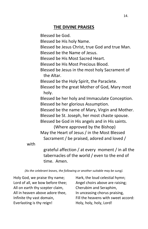#### **THE DIVINE PRAISES**

Blessed be God. Blessed be His holy Name. Blessed be Jesus Christ, true God and true Man. Blessed be the Name of Jesus. Blessed be His Most Sacred Heart. Blessed be His Most Precious Blood. Blessed be Jesus in the most holy Sacrament of the Altar. Blessed be the Holy Spirit, the Paraclete. Blessed be the great Mother of God, Mary most holy. Blessed be her holy and Immaculate Conception. Blessed be her glorious Assumption. Blessed be the name of Mary, Virgin and Mother. Blessed be St. Joseph, her most chaste spouse. Blessed be God in His angels and in His saints. (Where approved by the Bishop) May the Heart of Jesus / in the Most Blessed Sacrament / be praised, adored and loved /

with

 grateful affection / at every moment / in all the tabernacles of the world / even to the end of time. Amen.

*(As the celebrant leaves, the following or another suitable may be sung).*

Holy God, we praise thy name; Hark, the loud celestial hymn; Lord of all, we bow before thee; Angel choirs above are raising; All on earth thy scepter claim, Cherubim and Seraphim, All in heaven above adore thee, In unceasing chorus praising, Everlasting is thy reign!<br>
Holy, holy, holy, Lord!

Infinite thy vast domain, Fill the heavens with sweet accord: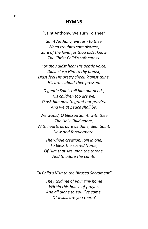#### **HYMNS**

#### "Saint Anthony, We Turn To Thee"

*Saint Anthony, we turn to thee When troubles sore distress, Sure of thy love, for thou didst know The Christ Child's soft caress.*

*For thou didst hear His gentle voice, Didst clasp Him to thy breast, Didst feel His pretty cheek 'gainst thine, His arms about thee pressed.*

*O gentle Saint, tell him our needs, His children too are we, O ask him now to grant our pray'rs, And we at peace shall be.*

*We would, O blessed Saint, with thee The Holy Child adore, With hearts as pure as thine, dear Saint, Now and forevermore.*

*The whole creation, join in one, To bless the sacred Name, Of Him that sits upon the throne, And to adore the Lamb!*

*"A Child's Visit to the Blessed Sacrament"*

*They told me of your tiny home Within this house of prayer, And all alone to You I've come, O! Jesus, are you there?*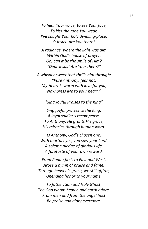*To hear Your voice, to see Your face, To kiss the robe You wear, I've sought Your holy dwelling-place: O Jesus! Are You there?*

*A radiance, where the light was dim Within God's house of prayer. Oh, can it be the smile of Him? "Dear Jesus! Are Your there?"*

*A whisper sweet that thrills him through: "Pure Anthony, fear not: My Heart is warm with love for you, Now press Me to your heart."*

*"Sing Joyful Praises to the King"*

*Sing joyful praises to the King, A loyal soldier's recompense. To Anthony, He grants His grace, His miracles through human word.*

*O Anthony, God's chosen one, With mortal eyes, you saw your Lord. A solemn pledge of glorious life, A foretaste of your own reward.*

*From Padua first, to East and West, Arose a hymn of praise and fame. Through heaven's grace, we still affirm, Unending honor to your name.*

*To father, Son and Holy Ghost, The God whom heav'n and earth adore, From men and from the angel host Be praise and glory evermore.*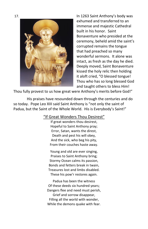17. In 1263 Saint Anthony's body was exhumed and transferred to an immense and majestic Cathedral built in his honor. Saint Bonaventure who presided at the ceremony, beheld amid the saint's corrupted remains the tongue that had preached so many wonderful sermons. It alone was intact, as fresh as the day he died. Deeply moved, Saint Bonaventure kissed the holy relic then holding it aloft cried, "O blessed tongue! Thou who has so long blessed God and taught others to bless Him!

Thou fully provest to us how great were Anthony's merits before God!"

His praises have resounded down through the centuries and do so today. Pope Leo XIII said Saint Anthony is "not only the saint of Padua, but the Saint of the Whole World. His is Everybody's Saint!"

#### "If Great Wonders Thou Desirest"

If great wonders thou desirest, Hopeful to Saint Anthony pray; Error, Satan, wants the direst, Death and pest his will obey, And the sick, who beg his pity, From their couches haste away.

Young and old are ever singing, Praises to Saint Anthony bring; Stormy Ocean calms its passion, Bonds and fetters break in twain, Treasures lost and limbs disabled. These his pow'r restores again.

Padua has been the witness Of these deeds six hundred years; Dangers flee and need must perish, Grief and sorrow disappear, Filling all the world with wonder, While the demons quake with fear.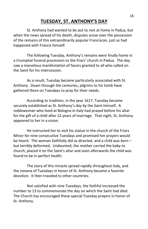# **TUESDAY, ST. ANTHONY'S DAY**

St. Anthony had wanted to be put to rest at home in Padua, but when the news spread of his death, disputes arose over the possession of the remains of this extraordinarily popular Franciscan, just as had happened with Francis himself.

The following Tuesday, Anthony's remains were finally home in a triumphal funeral procession to the friars' church in Padua. The day saw a marvelous manifestation of favors granted to all who called on the Saint for his intercession.

As a result, Tuesday became particularly associated with St. Anthony. Down through the centuries, pilgrims to his tomb have gathered there on Tuesdays to pray for their needs.

According to tradition, in the year 1617, Tuesday became securely established as St. Anthony's day by the Saint himself. A noblewoman who lived at Bologna in Italy had prayed before his altar for the gift of a child after 22 years of marriage. That night, St. Anthony appeared to her in a vision.

He instructed her to visit his statue in the church of the Friars Minor for nine consecutive Tuesdays and promised her prayers would be heard. The woman faithfully did as directed, and a child was born – but terribly deformed. Undaunted, the mother carried the baby to church, placed it on the Saint's altar and soon afterwards the child was found to be in perfect health.

The story of this miracle spread rapidly throughout Italy, and the novena of Tuesdays in honor of St. Anthony became a favorite devotion. It then traveled to other countries.

Not satisfied with nine Tuesdays, the faithful increased the number to 13 to commemorate the day on which the Saint had died. The Church has encouraged these special Tuesday prayers in honor of St. Anthony.